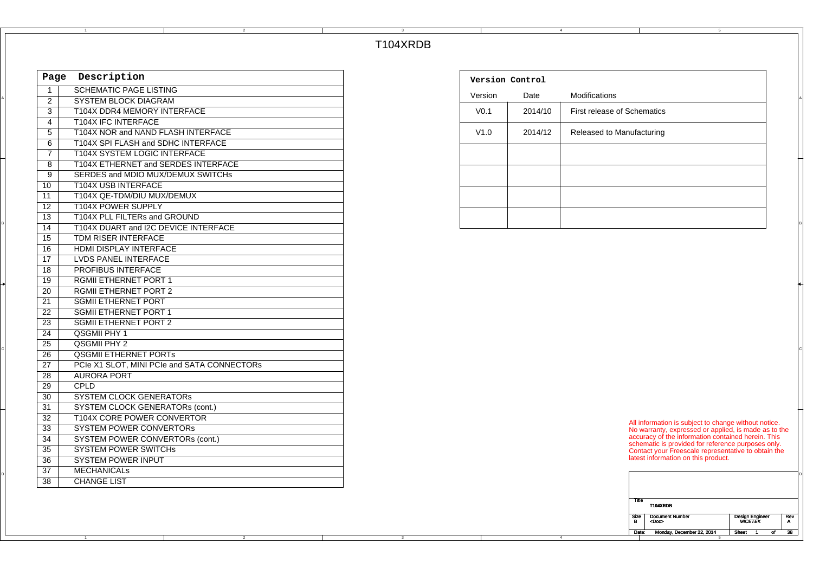## T104XRDB

3

|                 | Page Description                            |
|-----------------|---------------------------------------------|
| $\overline{1}$  | <b>SCHEMATIC PAGE LISTING</b>               |
|                 | <b>SYSTEM BLOCK DIAGRAM</b>                 |
|                 | T104X DDR4 MEMORY INTERFACE                 |
| $\overline{4}$  | <b>T104X IFC INTERFACE</b>                  |
| $5\overline{)}$ | T104X NOR and NAND FLASH INTERFACE          |
| 6               | T104X SPI FLASH and SDHC INTERFACE          |
| $\overline{7}$  | <b>T104X SYSTEM LOGIC INTERFACE</b>         |
| 8               | T104X ETHERNET and SERDES INTERFACE         |
| 9               | SERDES and MDIO MUX/DEMUX SWITCHS           |
| $\overline{10}$ | <b>T104X USB INTERFACE</b>                  |
| 11              | T104X QE-TDM/DIU MUX/DEMUX                  |
| $\overline{12}$ | <b>T104X POWER SUPPLY</b>                   |
| $\overline{13}$ | T104X PLL FILTERs and GROUND                |
| $\overline{14}$ | T104X DUART and I2C DEVICE INTERFACE        |
| 15              | TDM RISER INTERFACE                         |
| 16              | HDMI DISPLAY INTERFACE                      |
| 17              | <b>LVDS PANEL INTERFACE</b>                 |
| $\overline{18}$ | PROFIBUS INTERFACE                          |
| 19              | <b>RGMII ETHERNET PORT 1</b>                |
| $\overline{20}$ | <b>RGMILETHERNET PORT 2</b>                 |
| 21              | <b>SGMII ETHERNET PORT</b>                  |
| $\overline{22}$ | <b>SGMILETHERNET PORT 1</b>                 |
| $\overline{23}$ | <b>SGMII ETHERNET PORT 2</b>                |
| $\overline{24}$ | <b>QSGMII PHY 1</b>                         |
| $\overline{25}$ | <b>QSGMII PHY 2</b>                         |
| $\overline{26}$ | <b>QSGMII ETHERNET PORTS</b>                |
| $\overline{27}$ | PCIe X1 SLOT, MINI PCIe and SATA CONNECTORs |
| $\overline{28}$ | <b>AURORA PORT</b>                          |
| $\overline{29}$ | CPLD                                        |
| 30              | <b>SYSTEM CLOCK GENERATORS</b>              |
| $\overline{31}$ | <b>SYSTEM CLOCK GENERATORs (cont.)</b>      |
| $\overline{32}$ | <b>T104X CORE POWER CONVERTOR</b>           |
| $\overline{33}$ | <b>SYSTEM POWER CONVERTORS</b>              |
| $\overline{34}$ | <b>SYSTEM POWER CONVERTORS (cont.)</b>      |
| 35              | <b>SYSTEM POWER SWITCHS</b>                 |
| $\overline{36}$ | <b>SYSTEM POWER INPUT</b>                   |
| $\overline{37}$ | <b>MECHANICALS</b>                          |
| $\overline{38}$ | <b>CHANGE LIST</b>                          |
|                 |                                             |

2

1

| Description<br>Page      |                                              | Version Control  |         |                             |
|--------------------------|----------------------------------------------|------------------|---------|-----------------------------|
|                          | <b>SCHEMATIC PAGE LISTING</b>                | Version          | Date    | Modifications               |
| 2                        | SYSTEM BLOCK DIAGRAM                         |                  |         |                             |
| 3                        | T104X DDR4 MEMORY INTERFACE                  | V <sub>0.1</sub> | 2014/10 | First release of Schematics |
| 4                        | T104X IFC INTERFACE                          |                  |         |                             |
| 5                        | T104X NOR and NAND FLASH INTERFACE           | V1.0             | 2014/12 | Released to Manufacturing   |
| 6                        | T104X SPI FLASH and SDHC INTERFACE           |                  |         |                             |
| $\overline{\phantom{a}}$ | T104X SYSTEM LOGIC INTERFACE                 |                  |         |                             |
| 8                        | T104X ETHERNET and SERDES INTERFACE          |                  |         |                             |
| 9                        | SERDES and MDIO MUX/DEMUX SWITCHS            |                  |         |                             |
| 10                       | T104X USB INTERFACE                          |                  |         |                             |
| 11                       | T104X QE-TDM/DIU MUX/DEMUX                   |                  |         |                             |
| 12                       | T104X POWER SUPPLY                           |                  |         |                             |
| 13                       | T104X PLL FILTERs and GROUND                 |                  |         |                             |
| $\overline{A}$           | <b>TAO AV DUADT 224 100 DEVICE INTERFACE</b> |                  |         |                             |

4

4

| Title     | T104XRDB                              |                                   |    |          |
|-----------|---------------------------------------|-----------------------------------|----|----------|
| Size<br>в | <b>Document Number</b><br><doc></doc> | <b>Design Engineer</b><br>MĬCETĔK |    | Rev<br>А |
| Date:     | Monday, December 22, 2014             | Sheet                             | οf | 38       |
|           | к                                     |                                   |    |          |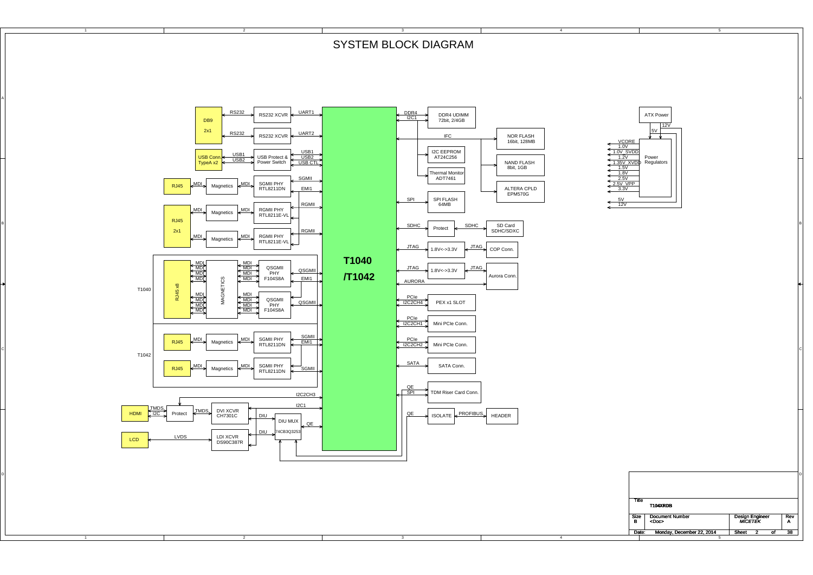SYSTEM BLOCK DIAGRAM

4

Ä

2

A

B

C

D

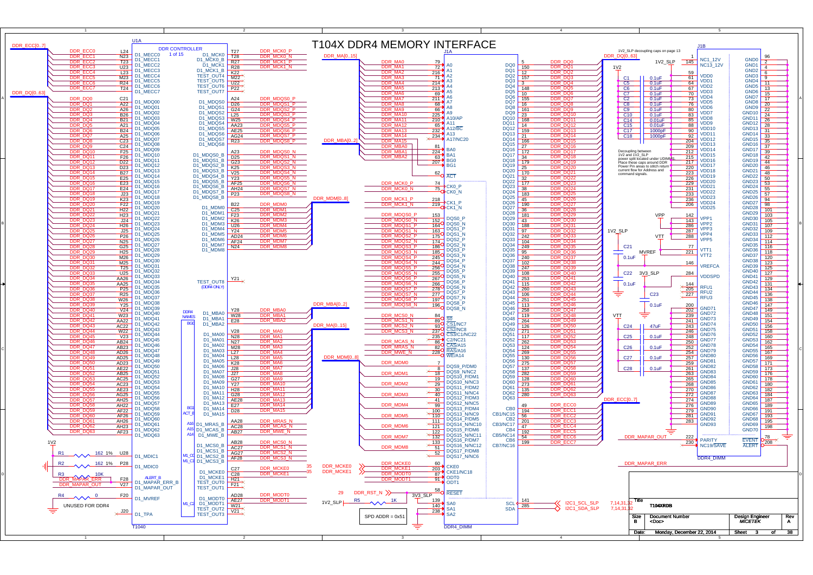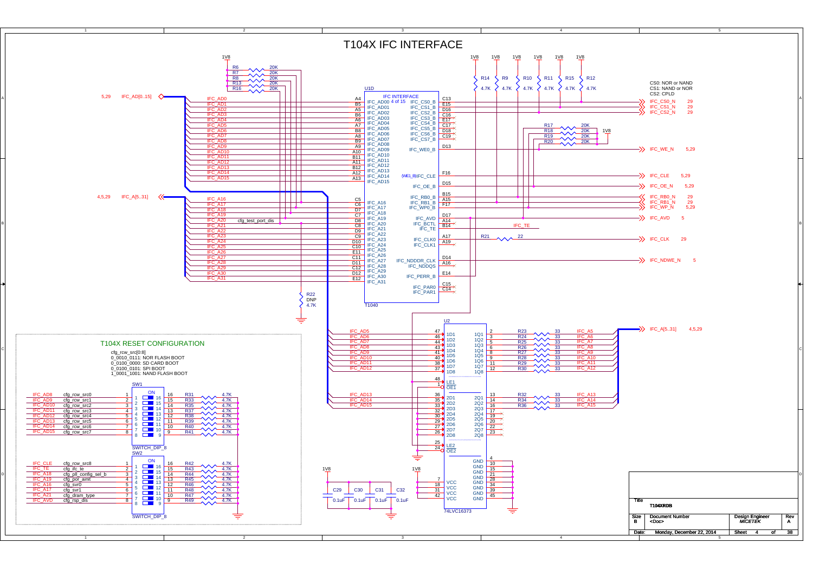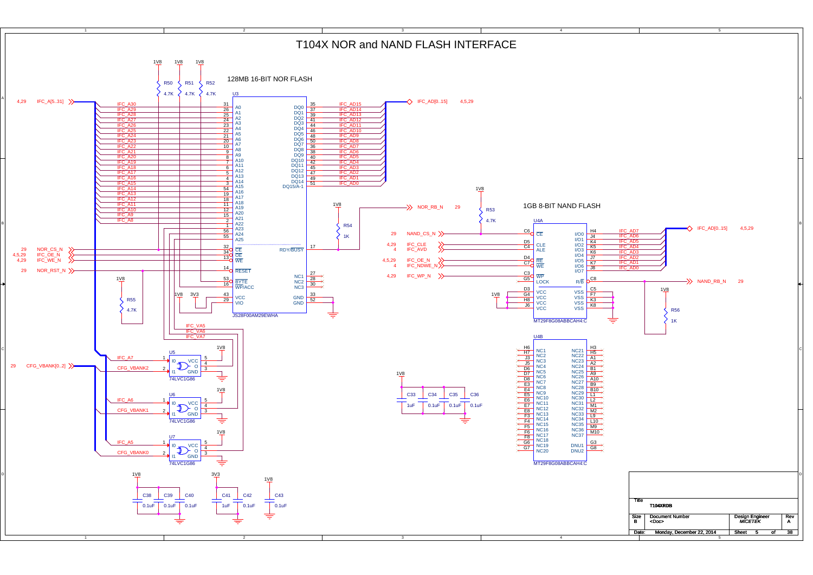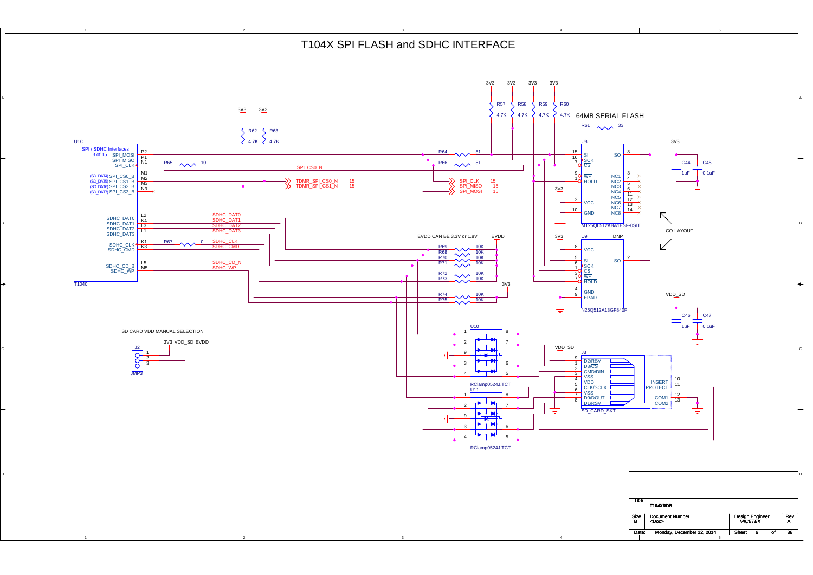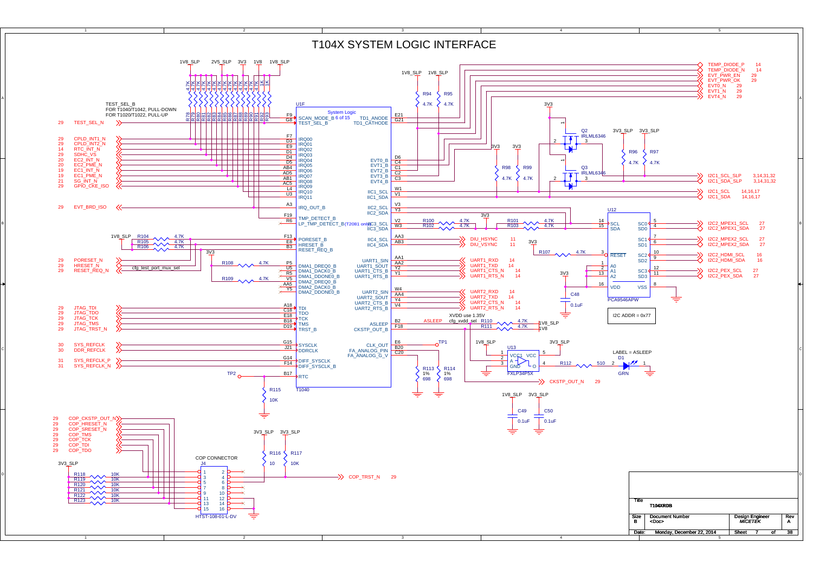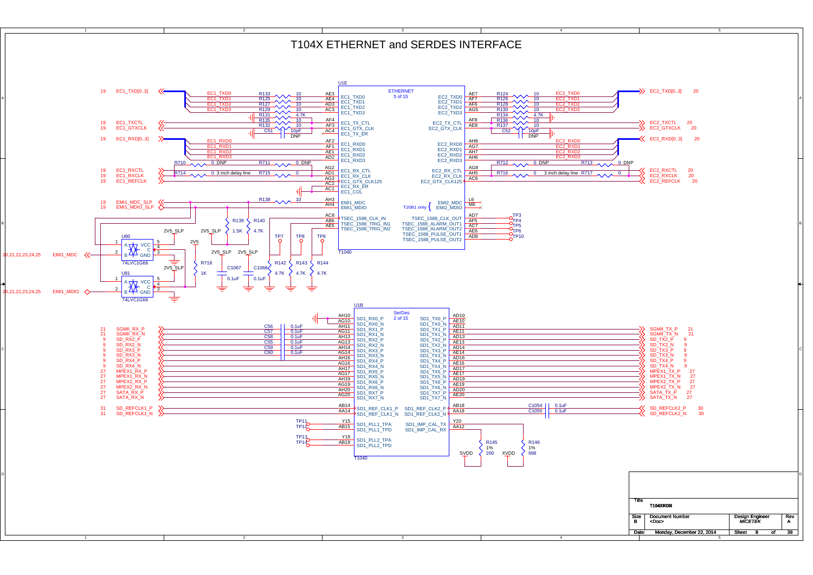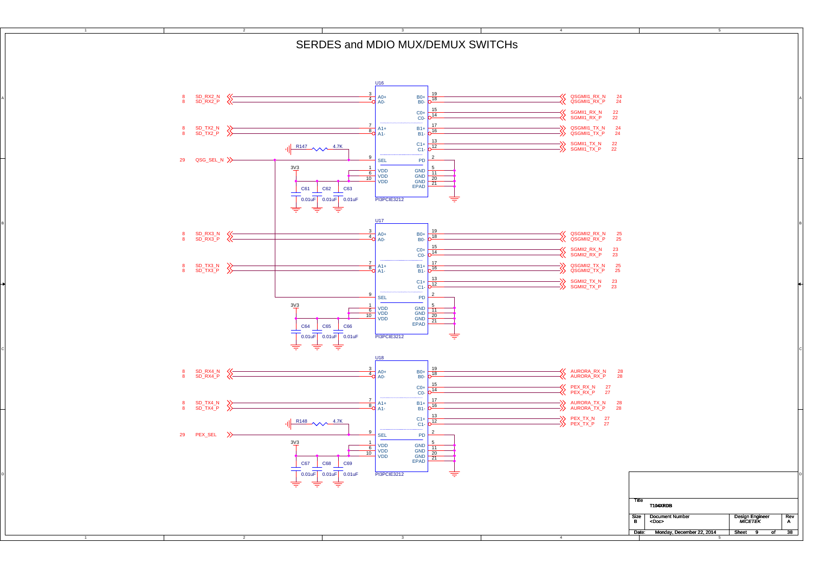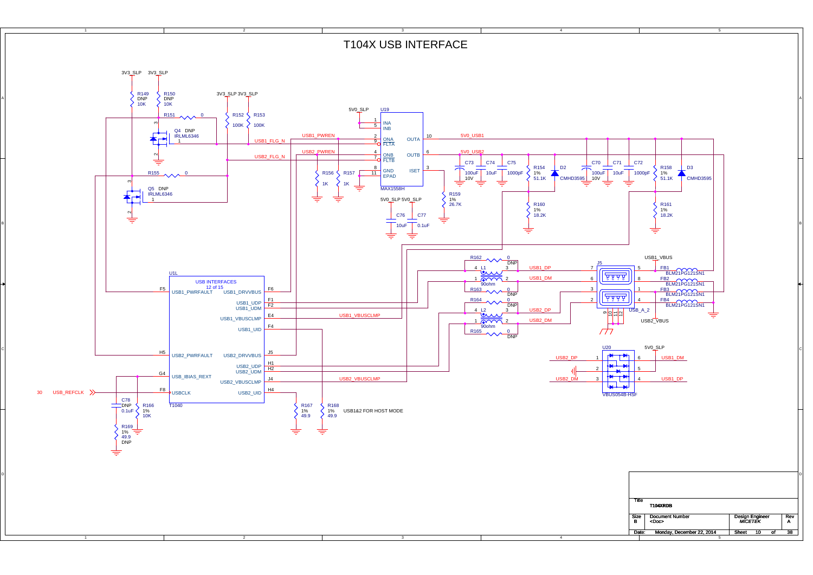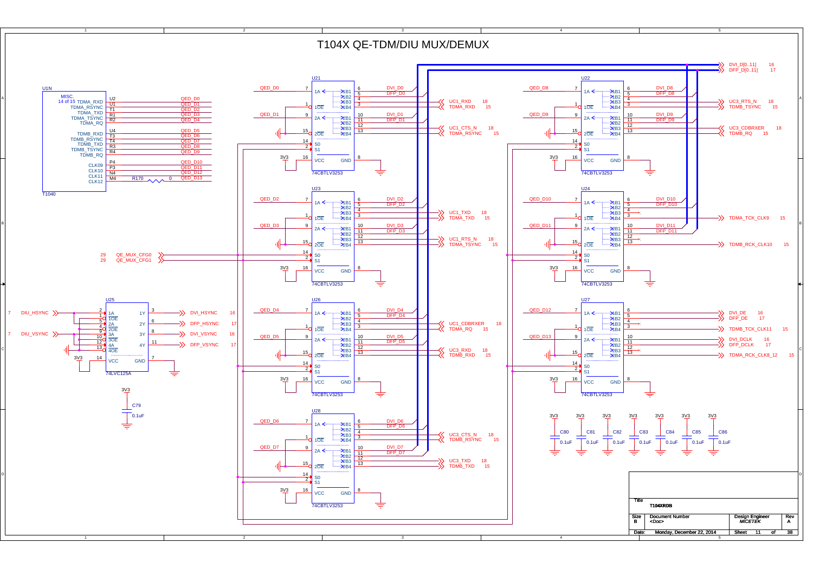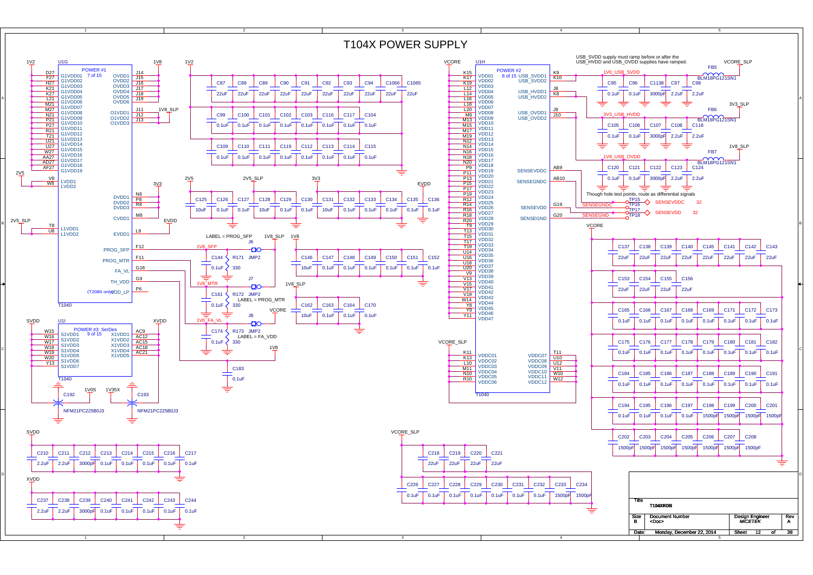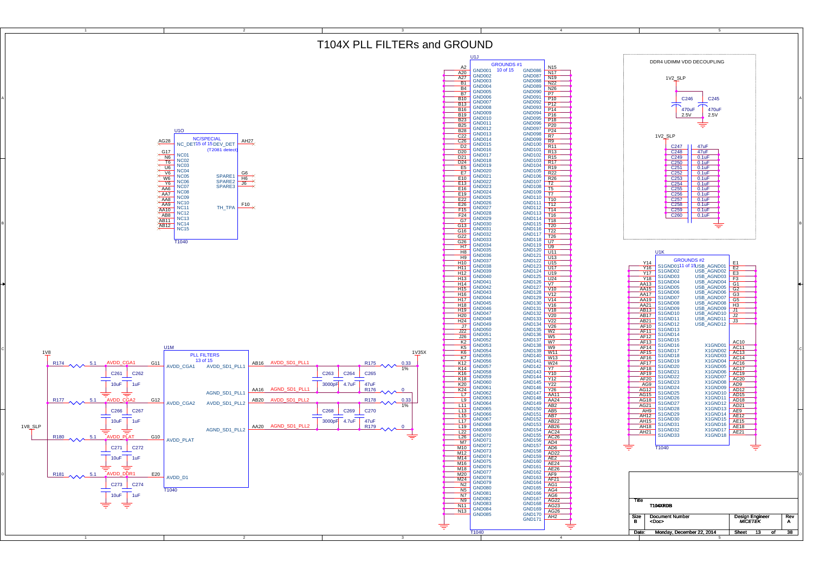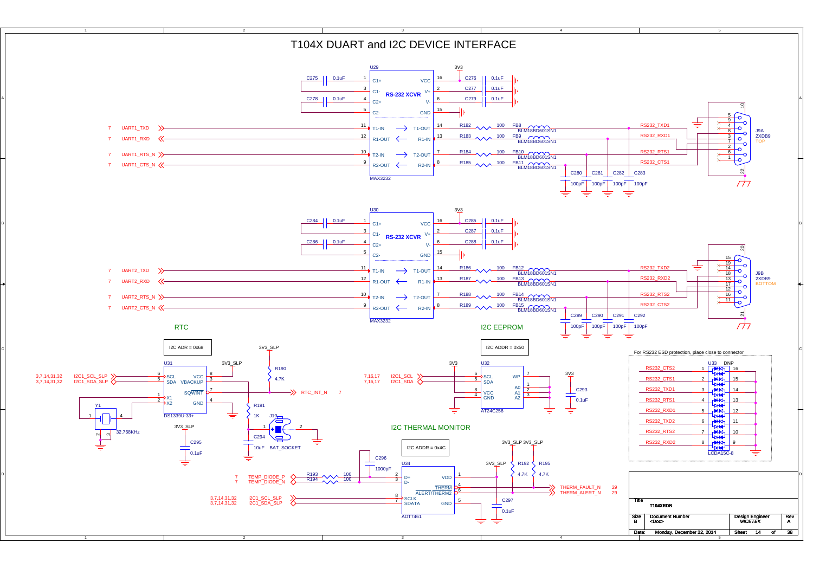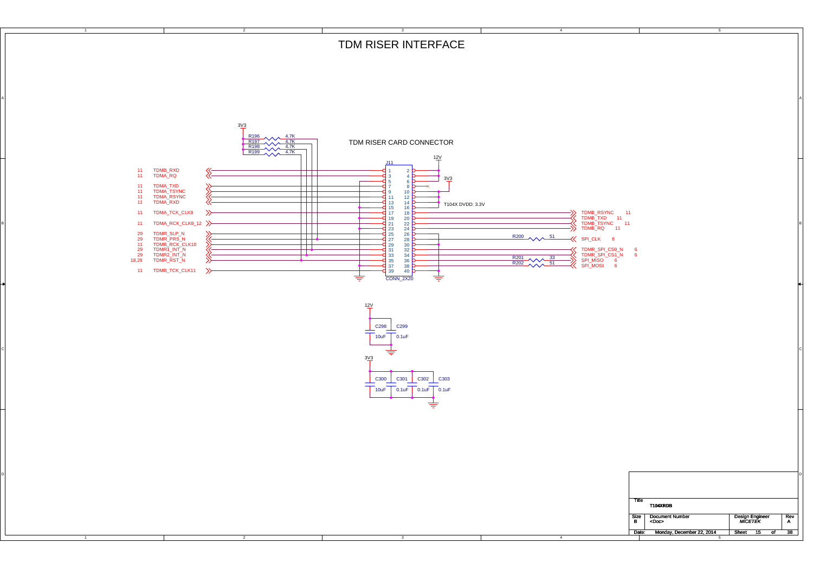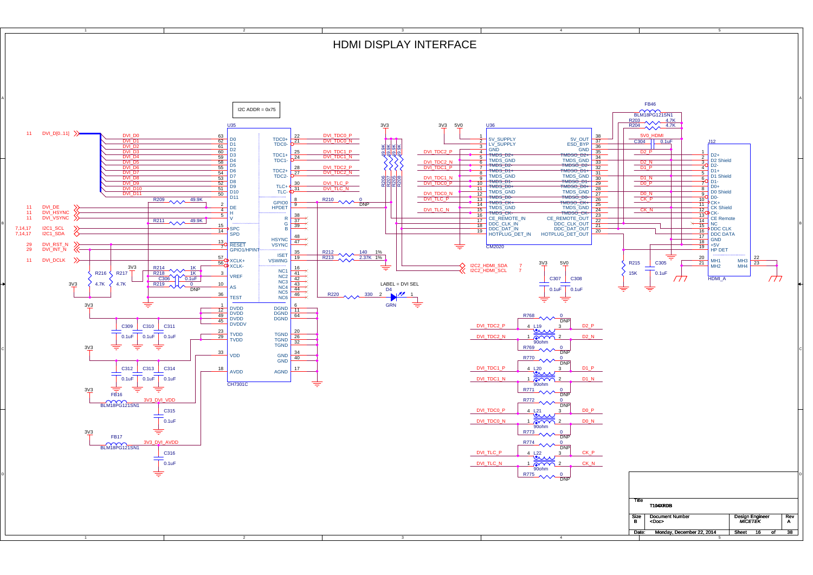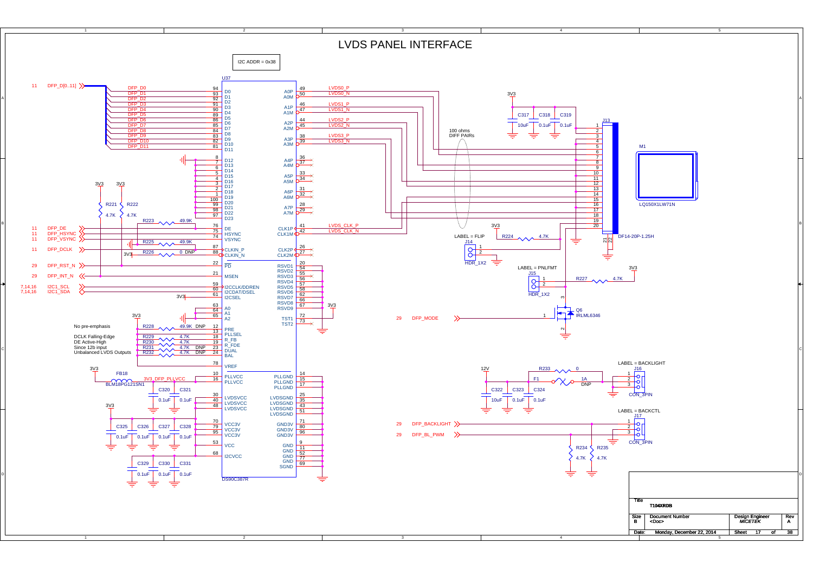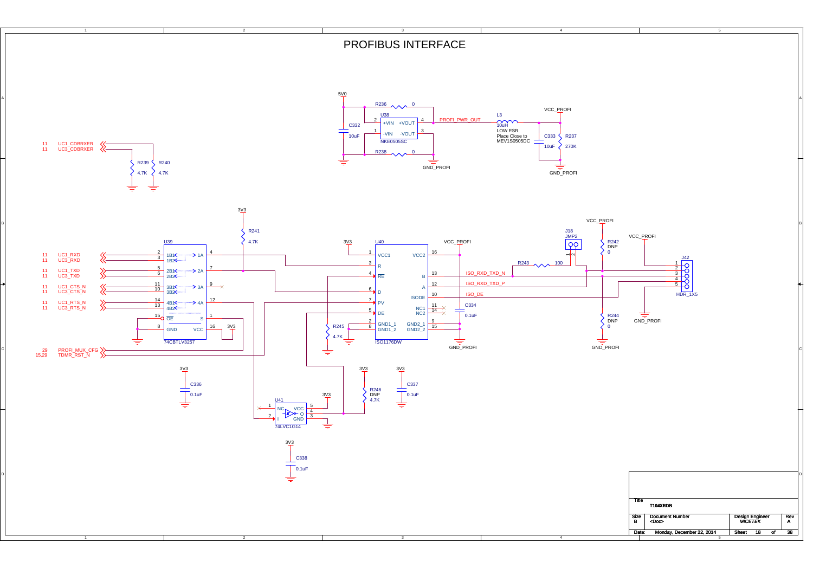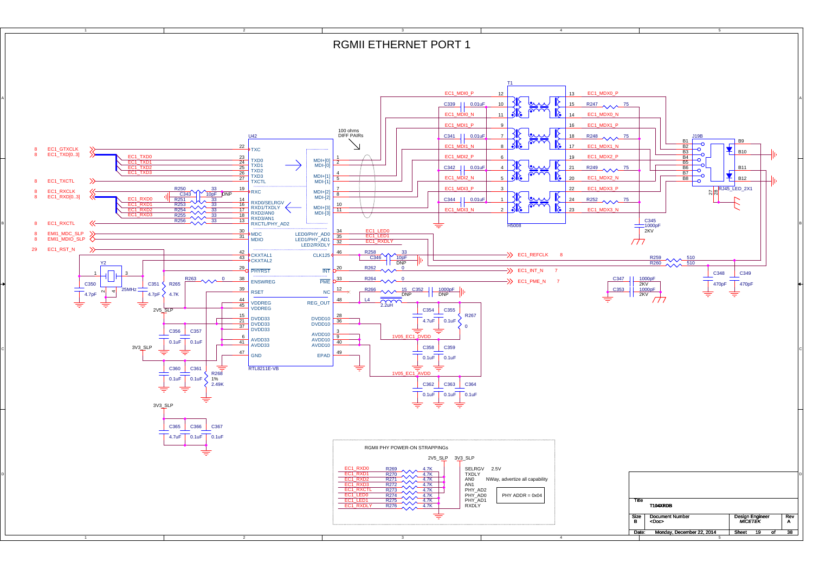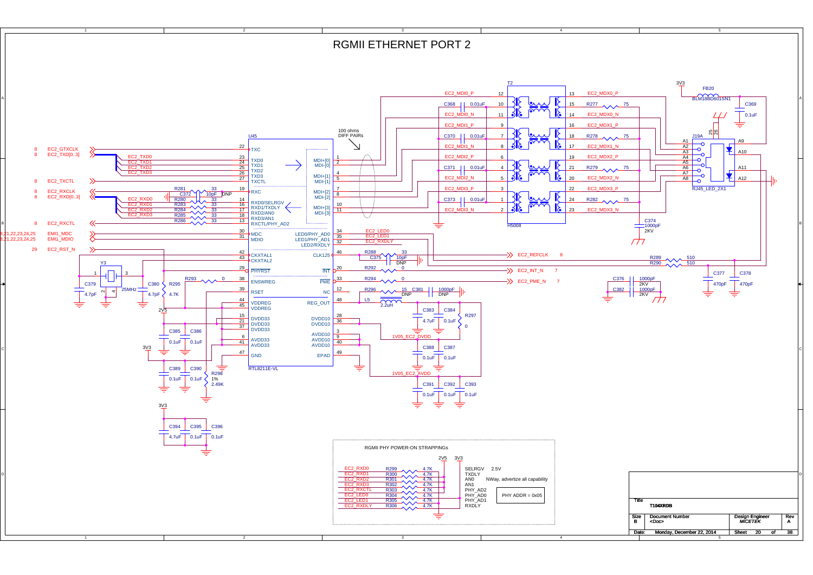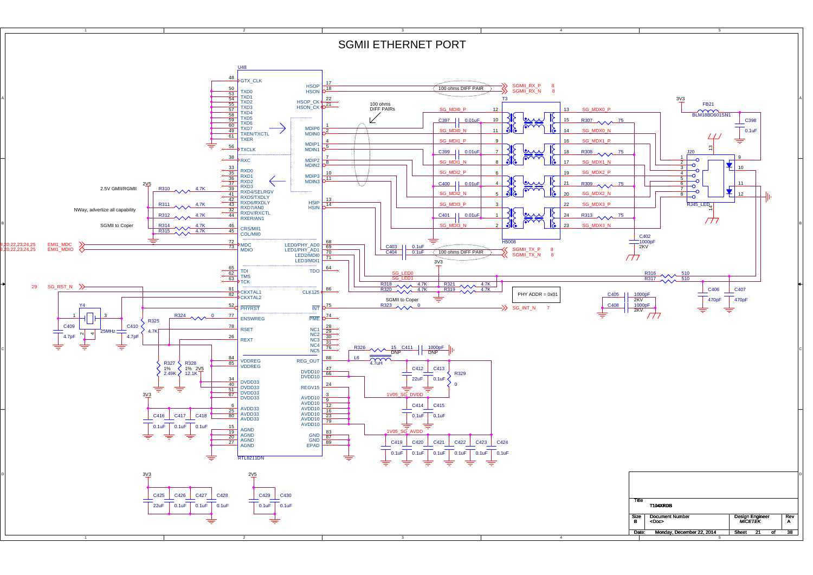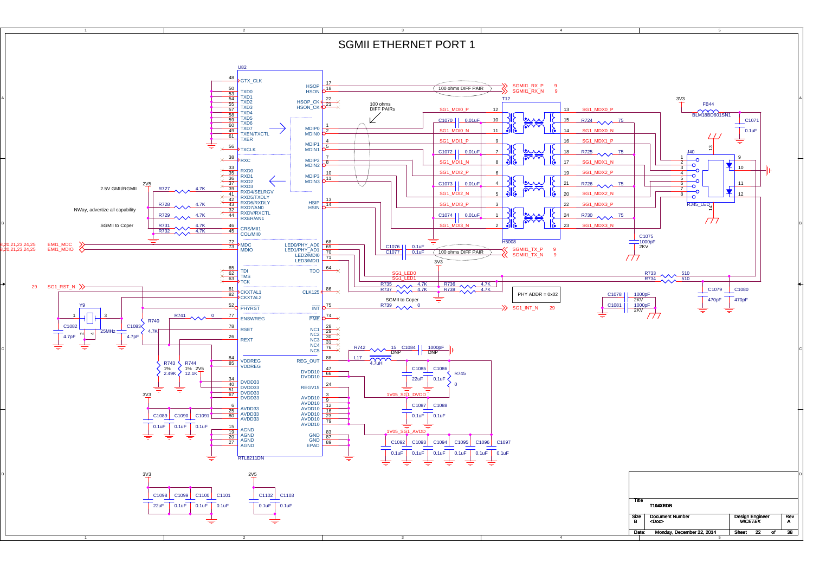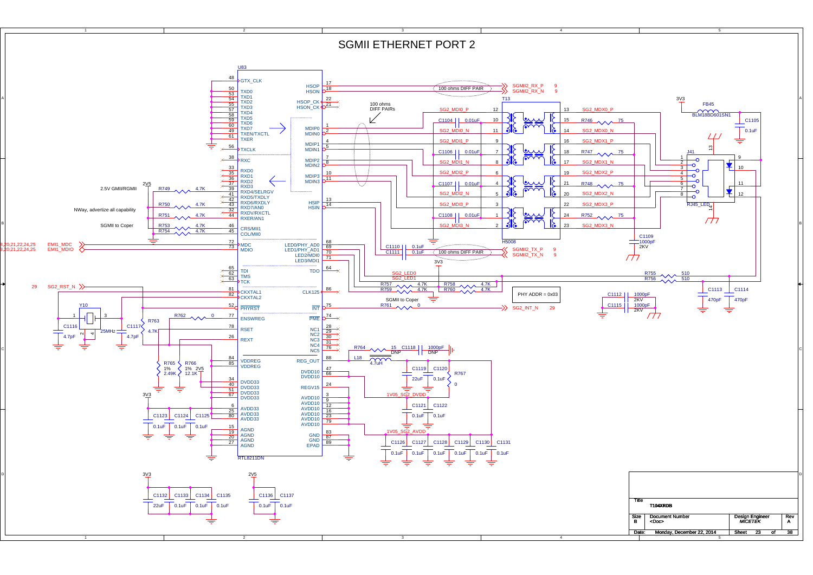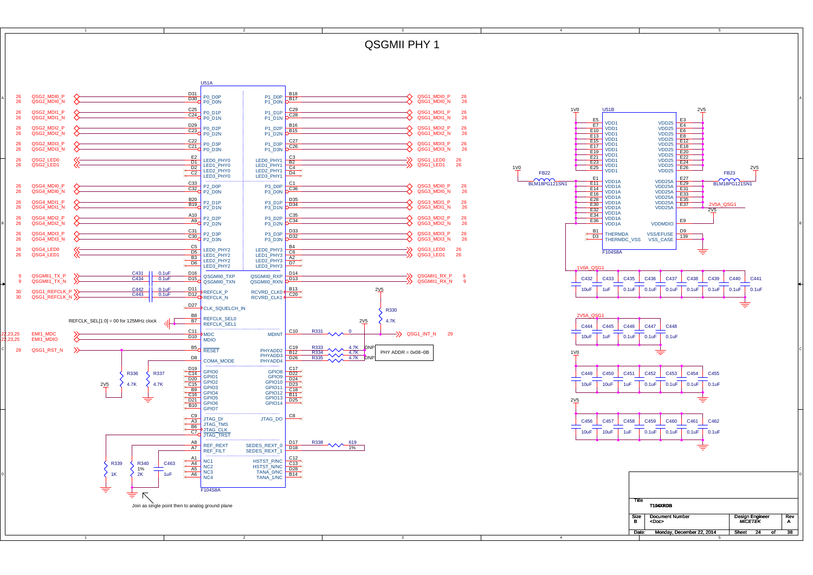24QSGMII PHY 1 U51A $\frac{D31}{D30}$  P0 D0P P<br>N<br>B<sub>17</sub> P1\_D0P QSG2\_MDI0\_N QSG2\_MDI0\_P QSG1\_MDI0\_P 26 QSG1\_MDI0\_N 26 26<br>26 A 20 WORKININGT V AND RELEASED TO THE RELEASED ON THE RELEASED ON THE RELEASED ON THE RELEASED ON THE RELEASED ON THE RELEASED ON THE RELEASED ON THE RELEASED ON THE RELEASED ON THE RELEASED ON THE RELEASED ON THE RELEASED  $\overline{D30}$  P<sub>0</sub>\_D0N P1\_D0NC<sub>29</sub> 1V0 $\frac{C25}{C24}$  P0 D1P 2V5 U51BP1\_D1P26<br>26 QSG2\_MDI1\_P QSG2\_MDI1\_N QSG1\_MDI1\_P 26 QSG1\_MDI1\_N 26  $\frac{C24}{P0}$  P<sub>0</sub>\_D<sub>1N</sub>  $P1$ <sup>D1N</sup>  $O^{C28}$  $\frac{E3}{F4}$  $\frac{E5}{2}$  VDD1 VDD2526 QSG2\_MDI2\_P $\frac{D29}{C22}$  P0 D2P P1\_D2PP<br>N<br>B<sub>15</sub> QSG1\_MDI2\_P 26<br>QSG1\_MDI2\_N 26  $\frac{E7}{40}$  VDD1 VDD25 $F_6$ 26 $\frac{C23}{P0}$  P0\_D2N  $E_{10}$  VDD1  $VDD25$   $E_8$ <br> $VDD25$   $E_8$  QSG2\_MDI2\_N P1\_D2NQSG1\_MDI2\_N E13 VDD1<br>E15 VDD1<br>E17 VDD1<br>E19 VDD1 VDD25 $E12$ 26QSG2\_MDI3\_P  $\frac{C22}{C24}$  P0 D3P P1\_D3PP<br>N C<sub>26</sub> QSG1\_MDI3\_P 26<br>QSG1\_MDI3\_N 26 VDD25 $\frac{C21}{P0}$  P0\_D3N  $VDD25$   $E18$ <br> $VDD25$   $E20$ <br> $VDD25$   $E33$ 26 QSG2\_MDI3\_N P<sub>1</sub><sup>D3N</sup> QSG1\_MDI3\_N VDD1E19<br>E23 VDD1<br>E25 VDD1<br>E25 VDD1 VDD25 $\begin{array}{r|l}\n & \text{LED0} & \text{PHY0} \\
\hline\n & \text{D1} & \text{LED1} & \text{PHY0} \\
 \hline\n \times & \text{C2} & \text{LED2} & \text{PHY0} \\
 \hline\n \times & \text{LED3} & \text{PHY0}\n\end{array}$  E22 QSG2\_LED0 LED0\_PHY1<br>LED1\_PHY1 B2 26恣 QSG1\_LED0 26<br>QSG1\_LED1 26 VDD<sub>25</sub> E24  $\frac{26}{26}$  QSG2\_LED1 QSG1\_LED1 VDD25LED1\_PHY1  $\overline{CA}$ <br>LED2\_PHY1  $\overline{DA}$ 1V0 E26 2V5 V<sub>DD1</sub> VDD25FB22FB23LED3\_PHY1  $\frac{E1}{44}$  VDD1A  $A$   $E29$ <br> $A$   $E29$  $BIM18PG121SN$ VDD25ABLM18PG121SN1  $\frac{E1}{E14}$ QSG4\_MDI0\_P C33<br>C32 P2\_D0P<br>P2\_D0N  $P \overline{OC36}$ QSG3\_MDI0\_P 26<br>QSG3\_MDI0\_N 26 26<br>26 P3\_D0P $\frac{E14}{E16}$  VDD1A VDD25A<br>VDD25A  $A \nB\nA \nEB3$  QSG4\_MDI0\_N QSG3\_MDI0\_N P3\_D0N $E16$ <br> $E28$ VDD1AVDD25A D35  $\frac{B20}{B40}$  P2 D1P  $E_{28}$  VDD<sub>1</sub>A QSG4\_MDI1\_P P3\_D1PVDD25A26<br>26 QSG3\_MDI1\_P 26 QSG3\_MDI1\_N 26 2V5A\_QSG1  $-$ D<sub>34</sub>  $E$ <sub>E37</sub>  $\frac{B19}{P2}$   $\frac{P2-D1}{P1}$  $\frac{20}{232}$  VDD1A 6 QSG4\_MDI1\_N P3\_D1NVDD25A $\frac{E32}{E34}$ 2V5 VDD1A $\frac{A10}{2}$  P<sub>2</sub> D<sub>2</sub>P P<br>N<br>OC34  $E_{36}^{34}$  VDD<sub>1</sub>A 26 QSG4\_MDI2\_PP3\_D2PQSG3\_MDI2\_P 26 E9  $A9$  P<sub>2</sub> D<sub>2N</sub>  $P2$  D<sub>2N</sub>  $E36$  VDD<sub>1A</sub>  $26$ 6 QSG4\_MDI2\_N P3\_D2NQSG3\_MDI2\_N 26 VDDMDIO B D33  $\frac{D9}{139}$ 26QSG4\_MDI3\_P C31 P2\_D3P<br>C30 P2\_D3N P3\_D3PQSG3\_MDI3\_P 26<br>QSG3\_MDI3\_N 26 **B1** THERMDA VSS/EFUSE **D9**<br>D3 THERMDC\_VSS VSS CASE VSS/EFUSE $\n *D32*\n$ 26QSG3\_MDI3\_N QSG4\_MDI3\_N P3\_D3N $\begin{array}{|c|c|c|c|c|}\n\hline\n\hline\n\hline\n\text{D5} & \text{LED0} & \text{PHY2}\n\end{array}$ 26 QSG4\_LED0 LEDO\_PHY3  $\frac{B4}{C6}$ QSG3\_LED0 26<br>QSG3\_LED1 26 F104S8A26QSG4\_LED1  $\frac{D5}{B3}$  LED1\_PHY2 LED1\_PHY3<br>LED2\_PHY3<br>LED2\_PHY3<br>LED3\_PHY3<br>D7 QSG3\_LED1 B3 LED1\_FH12<br>D6 LED2\_PHY2 LED2\_PHY3 LED3\_PHY3 1V0A\_QSG1  $\frac{C431}{C434}$   $\frac{O.1uF}{O.1uF}$  $\overline{D16}$  QSGMII0\_TXP  $P \overline{D^{11}}$  QSGMII1\_TX\_PQSGMII0\_RXP 9P X 951 951 956MIILEX 9 956MIILEX 9 206MIILEX 9 956MIILEX 9 966MIILEX 9 966MIILEX 9 966MIILEX 9 966MIILEX 9 9<br>N X 966MIII RX 9 966MII RX 9 966MII RX 9 966MII RX 9 966MII RX 9 966MII RX 9 966MIILEX 9 966MIILEX 9 966MIILEX  $C432$ C433C435C436C437C439 C438 D<sub>15</sub><sup>QSGMII0\_IAP</sup> C440 C441 ق QSGMII0\_RXN QSGMII1\_TX\_N  $\begin{array}{|c|c|c|}\n\hline\n\text{C442} & 0.1 \text{uF} \\
\hline\n\text{C443} & 0.1 \text{uF}\n\end{array}$  $RCVRD$ <sub>CLK0</sub> B<sub>13</sub> 10uF1uF $\overline{0.1}$ u $\overline{F}$  $\overline{\phantom{0}}$ 0.1u $\overline{\phantom{0}}$  $\frac{D11}{D12}$ REFCLK P 2V5 0.1uF 0.1uF 0.1uF 0.1uF 0.1uF 30 QSG1\_REFCLK\_P $C443$  0.1uF 30**D12 REFCLK\_N** 0 QSG1\_REFCLK\_N RCVRD\_CLK1 D27 CLK SQUELCH IN R330 B8<br>B7<br>B================= 2V5A\_QSG1 4.7KREFCLK  $SEL[1:0] = 00$  for 125MHz clock REFCLK\_SEL1 2V5 C444C445C446C447C448 $\frac{\text{C11}}{\text{NADC}}$  MDC MDINT C10 R331 \\ 0 \ \ 30G1 INT N 29 R331 <u>C11</u> MDC MDINT C10 ,22,23,25 EMI1\_MDC $MDC$  $\overline{D10}$ 10uF 1uF 0.1uF 0.1uF 0.1uF MDIO,22,23,25 EMI1\_MDIO C<sub>19</sub> R333  $4.7K$  DNF **B5**ORESET 29 C PHYADD2 QSG1\_RST\_N  $PHY$  ADDR = 0x08 $\sim$ 0B B12 R334 4.7K<br>R335 4.7K DNP 1V0 PHYADD3<br>PHYADD4 D<sub>26</sub> **D8** COMA MODE 019<br>
GPIO1<br>
GPIO2<br>
GPIO3<br>
GPIO4<br>
GPIO6<br>
GPIO6<br>
B10<br>
GPIO7<br>
GPIO7 8<br>
9<br>
9<br>
<u>0<br>
2<br>
2<br>
8<br>
1<br>
B11<br>
D25</u><br>
4 GPIO8R336 R337 C449 C450 C451 C452 C453 C454 C455 GPIO94.7K $4.7K$ GPIO10<br>GPIO11  $0.1$ uF $\overline{1}$  $10u$ F  $10u$ 1uF $0.1$ uF 2V5 0.1uF0.1uFGPIO12GPIO13╅ ≑ 2V5 GPIO14 $JTAG_DO$   $CB \times$  $\frac{C9}{A3}$  JTAG\_DI JTAG\_DO<br> $\frac{D1}{B6}$  JTAG TMS C456 C457 C458 C459 C460 C461 C462  $\overline{\text{BB}}$ , JTAG\_IMS 1uF $^-$ 0.1uF **CTO** JTAG\_CLK 10uF 10uF 0.1uF 0.1uF 0.1uF  $\frac{AB}{A7}$  REF\_REXT  $\begin{array}{c} 19 \ \hline 11\% \end{array}$ SEDES\_REXT\_0  $\frac{\text{U17}}{\text{D18}}$  $\Rightarrow$ SEDES\_REAT\_0 **REF\_FILT** A<sub>4</sub><br>
A<sub>4</sub><br>
A<sub>5</sub><br>
N<sub>6</sub><br>
N<sub>6</sub> C<br>C<br>C<br>C<br>C<br>C<br>C<br>C<br>C N<sub>C1</sub> HSTST\_P/NCR339 R340 C463 N<sub>C2</sub> HSTST\_N/NC 1% $rac{AB}{46}$ NC3TANA\_0/NC2K D 1K 1uF  $NC4$ TANA\_1/NCE<sub>104</sub>S87 ≑  $\triangledown$ TitleJoin as single point then to analog ground plane **T104XRDB** Size Document Number<br>B <Doc>  $R$ <sup>Nev</sup> Design Engineer <Doc> A*MICETEK*n<br>B Sheet 24 Date: Monday, December 22, 2014 1 Sheet 24 of 38 1345

A

B

C

D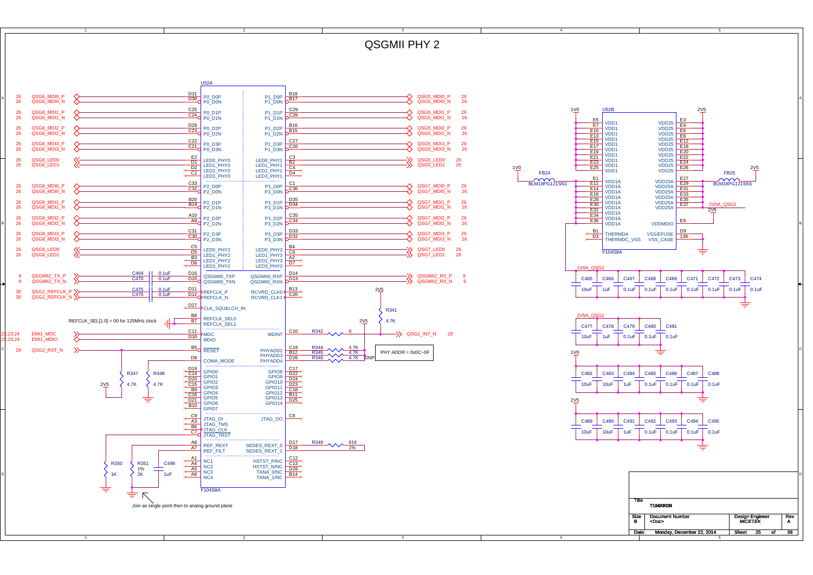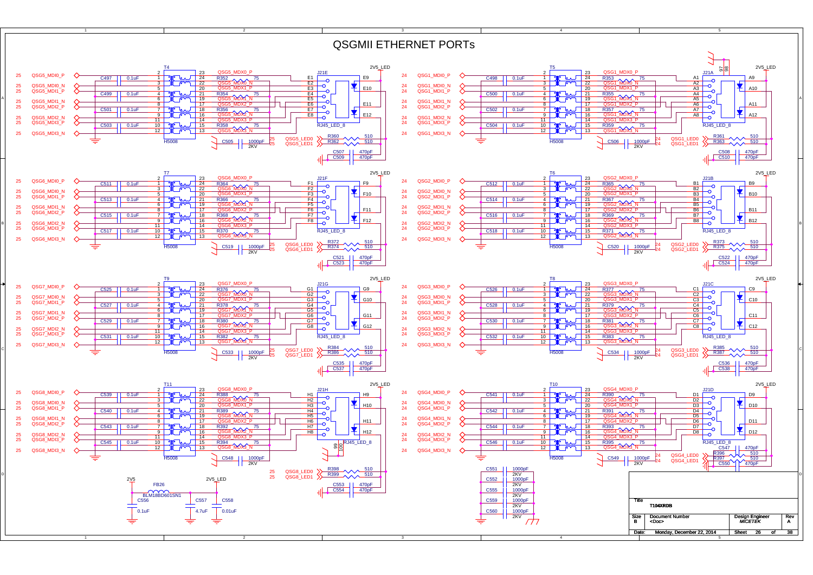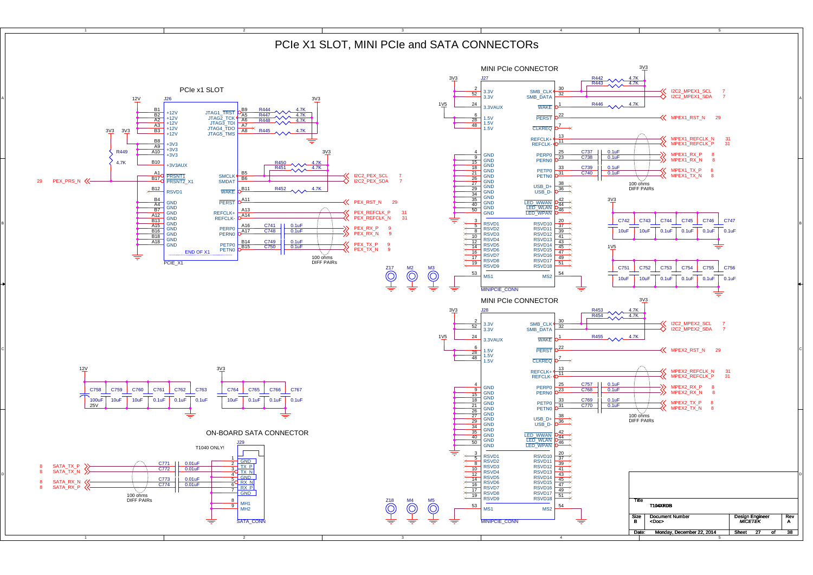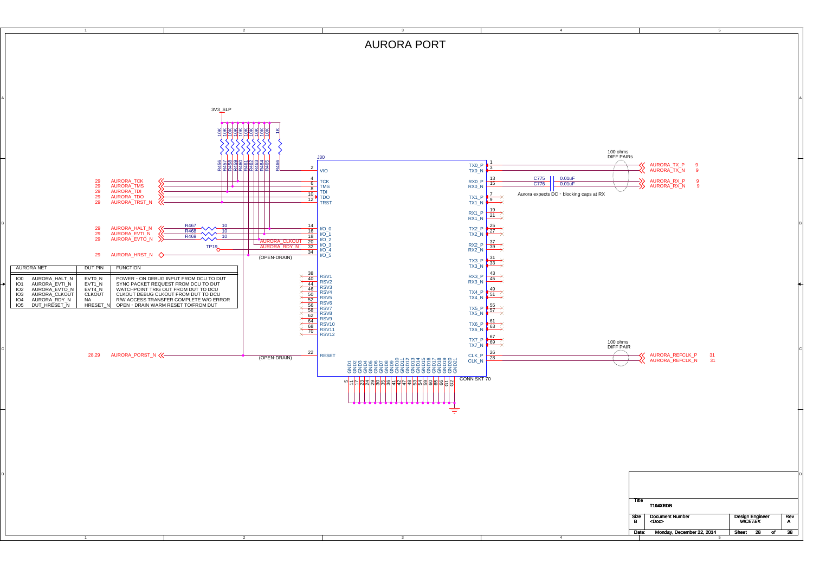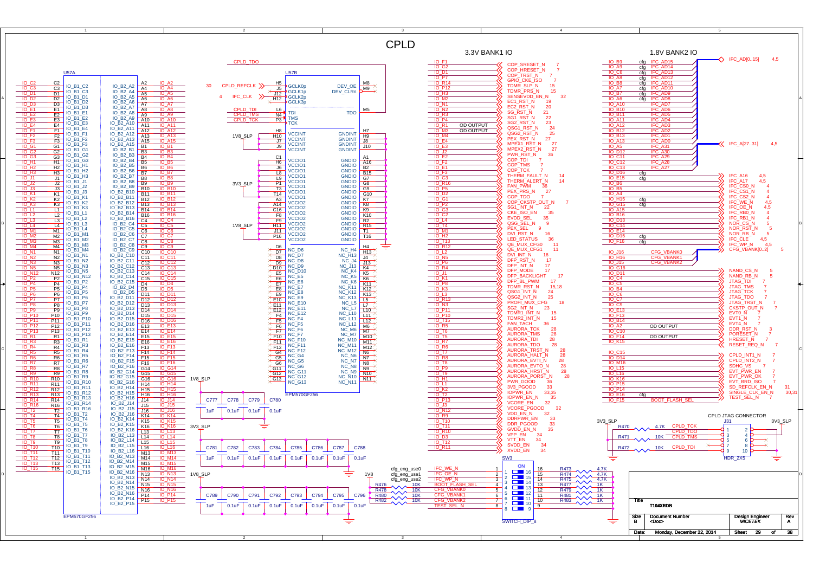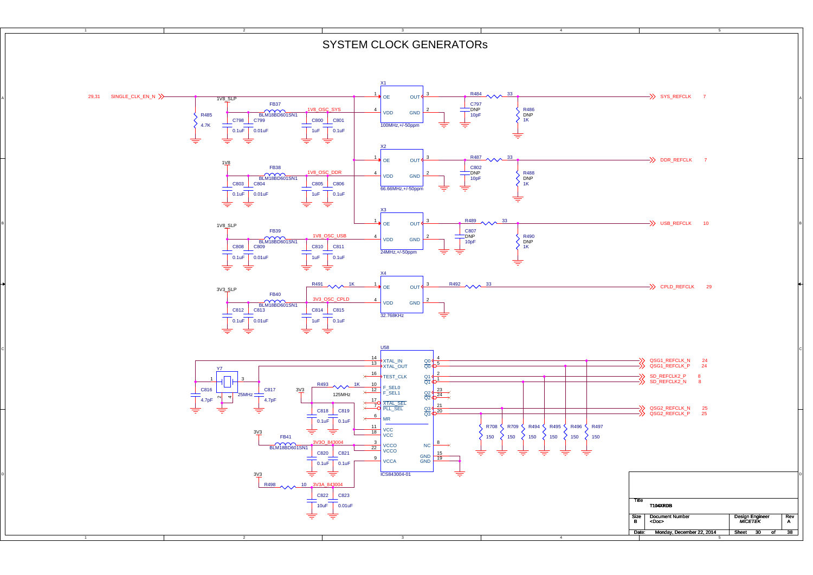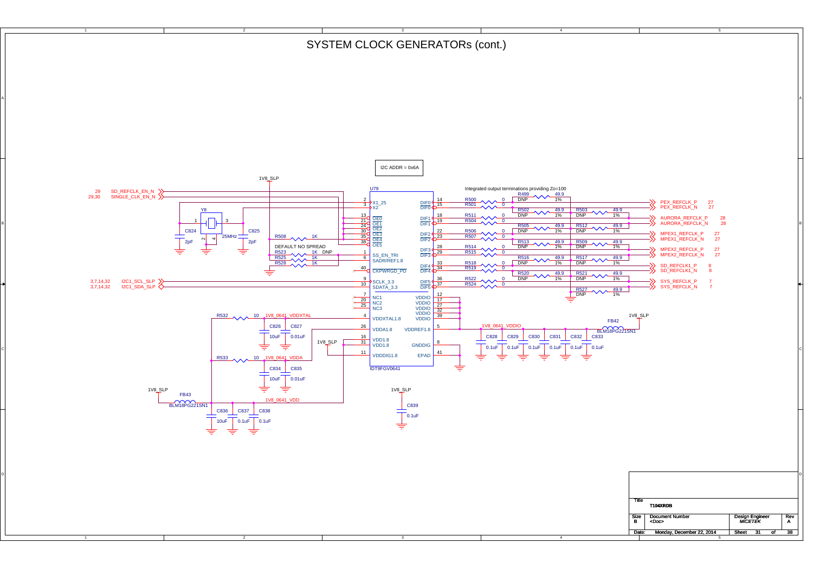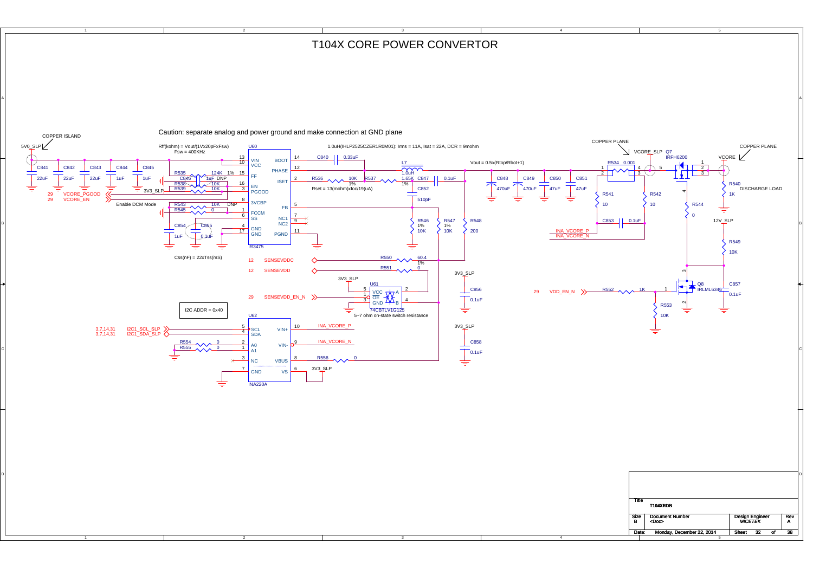## T104X CORE POWER CONVERTOR

4

2

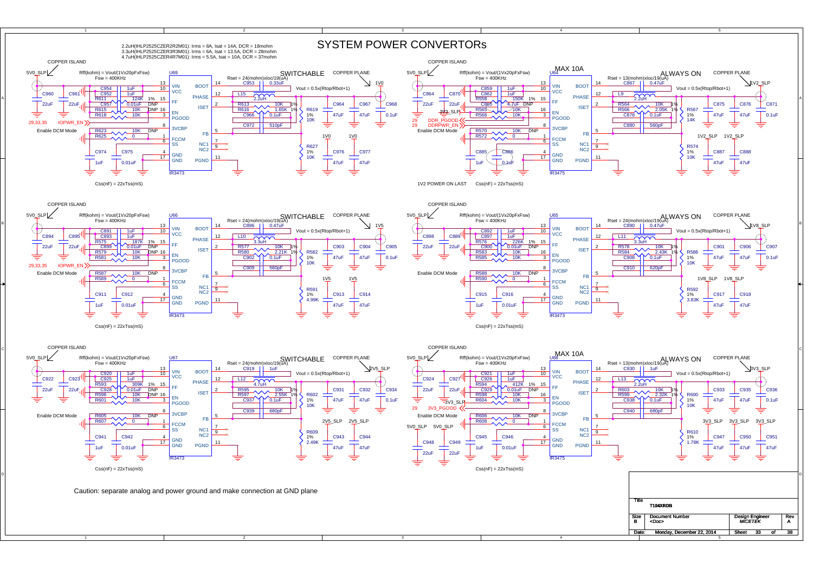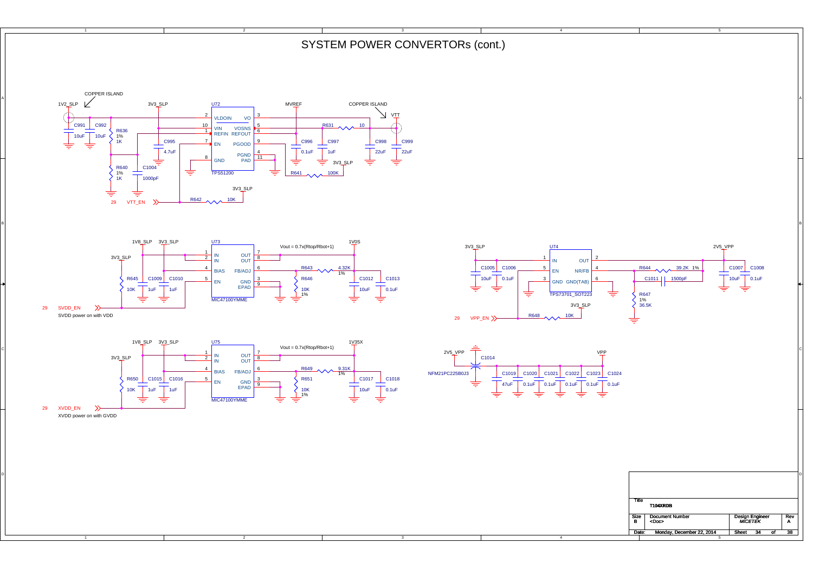SYSTEM POWER CONVERTORs (cont.)

BI<br>BI

3



2





A

B

C

D







4

4



XVDD power on with GVDD 29 XVDD\_EN

1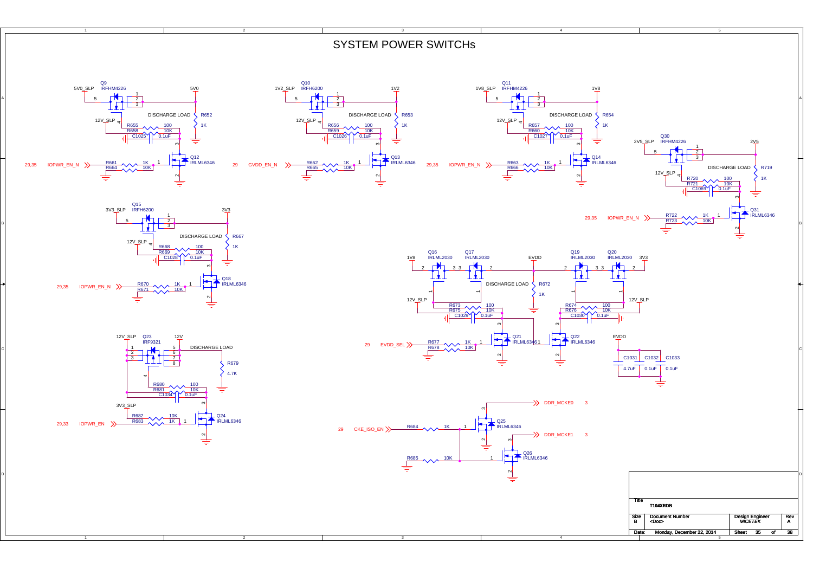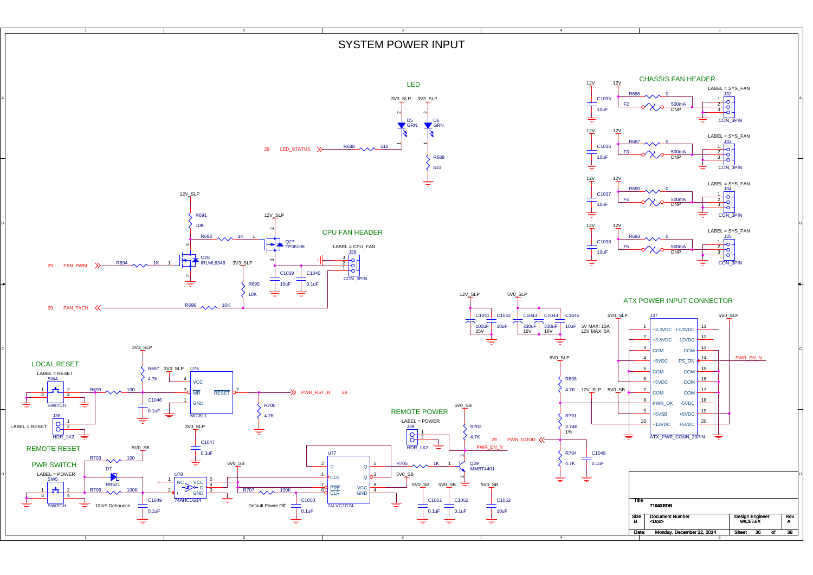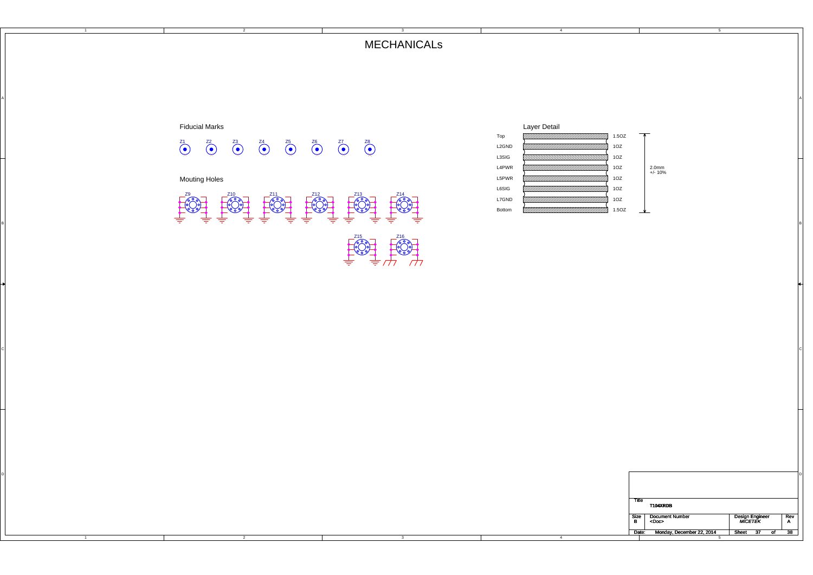## MECHANICALs

Al and the contract of the contract of the contract of the contract of the contract of the contract of the contract of the contract of the contract of the contract of the contract of the contract of the contract of the con

CILITY AND RESERVED TO A REPORT OF THE RESERVED OF THE RESERVED OF THE RESERVED OF THE RESERVED OF THE RESERVED OF THE RESERVED OF THE RESERVED OF THE RESERVED OF THE RESERVED OF THE RESERVED OF THE RESERVED OF THE RESERVE



2

A

B

C



4

| ше   | T104XRDB                              |                            |     |
|------|---------------------------------------|----------------------------|-----|
| Size | <b>Document Number</b><br><doc></doc> | Design Engineer<br>MICETEK | Rev |
|      | Date: Monday, December 22, 2014       | Sheet<br>- 37              |     |